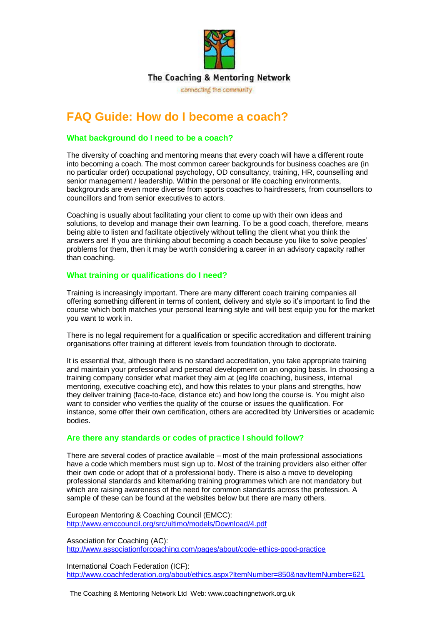

# **FAQ Guide: How do I become a coach?**

#### **What background do I need to be a coach?**

The diversity of coaching and mentoring means that every coach will have a different route into becoming a coach. The most common career backgrounds for business coaches are (in no particular order) occupational psychology, OD consultancy, training, HR, counselling and senior management / leadership. Within the personal or life coaching environments, backgrounds are even more diverse from sports coaches to hairdressers, from counsellors to councillors and from senior executives to actors.

Coaching is usually about facilitating your client to come up with their own ideas and solutions, to develop and manage their own learning. To be a good coach, therefore, means being able to listen and facilitate objectively without telling the client what you think the answers are! If you are thinking about becoming a coach because you like to solve peoples' problems for them, then it may be worth considering a career in an advisory capacity rather than coaching.

#### **What training or qualifications do I need?**

Training is increasingly important. There are many different coach training companies all offering something different in terms of content, delivery and style so it's important to find the course which both matches your personal learning style and will best equip you for the market you want to work in.

There is no legal requirement for a qualification or specific accreditation and different training organisations offer training at different levels from foundation through to doctorate.

It is essential that, although there is no standard accreditation, you take appropriate training and maintain your professional and personal development on an ongoing basis. In choosing a training company consider what market they aim at (eg life coaching, business, internal mentoring, executive coaching etc), and how this relates to your plans and strengths, how they deliver training (face-to-face, distance etc) and how long the course is. You might also want to consider who verifies the quality of the course or issues the qualification. For instance, some offer their own certification, others are accredited bty Universities or academic bodies.

#### **Are there any standards or codes of practice I should follow?**

There are several codes of practice available – most of the main professional associations have a code which members must sign up to. Most of the training providers also either offer their own code or adopt that of a professional body. There is also a move to developing professional standards and kitemarking training programmes which are not mandatory but which are raising awareness of the need for common standards across the profession. A sample of these can be found at the websites below but there are many others.

European Mentoring & Coaching Council (EMCC): <http://www.emccouncil.org/src/ultimo/models/Download/4.pdf>

Association for Coaching (AC): http://www.associationforcoaching.com/pages/about/code-ethics-good-practice

International Coach Federation (ICF): http://www.coachfederation.org/about/ethics.aspx?ItemNumber=850&navItemNumber=621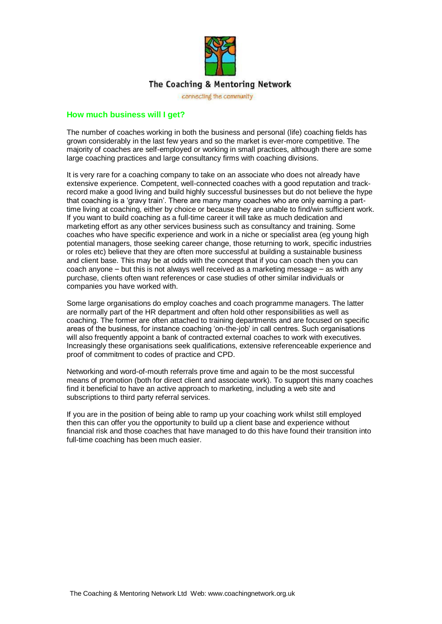

## The Coaching & Mentoring Network

connecting the community

#### **How much business will I get?**

The number of coaches working in both the business and personal (life) coaching fields has grown considerably in the last few years and so the market is ever-more competitive. The majority of coaches are self-employed or working in small practices, although there are some large coaching practices and large consultancy firms with coaching divisions.

It is very rare for a coaching company to take on an associate who does not already have extensive experience. Competent, well-connected coaches with a good reputation and trackrecord make a good living and build highly successful businesses but do not believe the hype that coaching is a 'gravy train'. There are many many coaches who are only earning a parttime living at coaching, either by choice or because they are unable to find/win sufficient work. If you want to build coaching as a full-time career it will take as much dedication and marketing effort as any other services business such as consultancy and training. Some coaches who have specific experience and work in a niche or specialist area (eg young high potential managers, those seeking career change, those returning to work, specific industries or roles etc) believe that they are often more successful at building a sustainable business and client base. This may be at odds with the concept that if you can coach then you can coach anyone – but this is not always well received as a marketing message – as with any purchase, clients often want references or case studies of other similar individuals or companies you have worked with.

Some large organisations do employ coaches and coach programme managers. The latter are normally part of the HR department and often hold other responsibilities as well as coaching. The former are often attached to training departments and are focused on specific areas of the business, for instance coaching 'on-the-job' in call centres. Such organisations will also frequently appoint a bank of contracted external coaches to work with executives. Increasingly these organisations seek qualifications, extensive referenceable experience and proof of commitment to codes of practice and CPD.

Networking and word-of-mouth referrals prove time and again to be the most successful means of promotion (both for direct client and associate work). To support this many coaches find it beneficial to have an active approach to marketing, including a web site and subscriptions to third party referral services.

If you are in the position of being able to ramp up your coaching work whilst still employed then this can offer you the opportunity to build up a client base and experience without financial risk and those coaches that have managed to do this have found their transition into full-time coaching has been much easier.